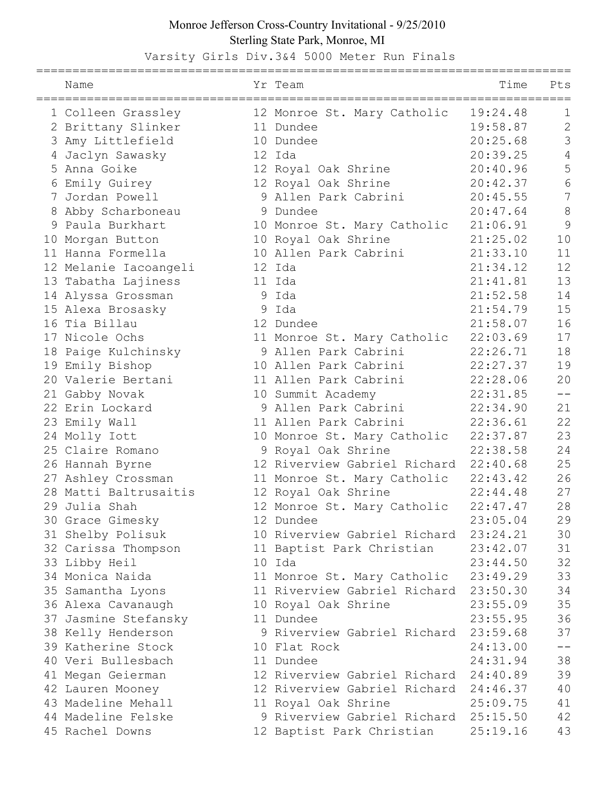## Monroe Jefferson Cross-Country Invitational - 9/25/2010 Sterling State Park, Monroe, MI

==========================================================================

Varsity Girls Div.3&4 5000 Meter Run Finals

| Name                           | Yr Team                                           | Time                 | Pts               |
|--------------------------------|---------------------------------------------------|----------------------|-------------------|
| 1 Colleen Grassley             | 12 Monroe St. Mary Catholic                       | 19:24.48             | 1                 |
| 2 Brittany Slinker             | 11 Dundee                                         | 19:58.87             | $\mathbf{2}$      |
| 3 Amy Littlefield              | 10 Dundee                                         | 20:25.68             | 3                 |
| 4 Jaclyn Sawasky               | 12 Ida                                            | 20:39.25             | $\sqrt{4}$        |
| 5 Anna Goike                   | 12 Royal Oak Shrine                               | 20:40.96             | 5                 |
| 6 Emily Guirey                 | 12 Royal Oak Shrine                               | 20:42.37             | 6                 |
| 7 Jordan Powell                | 9 Allen Park Cabrini                              | 20:45.55             | $\overline{7}$    |
| 8 Abby Scharboneau             | 9 Dundee                                          | 20:47.64             | 8                 |
| 9 Paula Burkhart               | 10 Monroe St. Mary Catholic                       | 21:06.91             | 9                 |
| 10 Morgan Button               | 10 Royal Oak Shrine                               | 21:25.02             | 10                |
| 11 Hanna Formella              | 10 Allen Park Cabrini                             | 21:33.10             | 11                |
| 12 Melanie Iacoangeli          | 12 Ida                                            | 21:34.12             | 12                |
| 13 Tabatha Lajiness            | 11 Ida                                            | 21:41.81             | 13                |
| 14 Alyssa Grossman             | 9 Ida                                             | 21:52.58             | 14                |
| 15 Alexa Brosasky              | 9 Ida                                             | 21:54.79             | 15                |
| 16 Tia Billau                  | 12 Dundee                                         | 21:58.07             | 16                |
| 17 Nicole Ochs                 | 11 Monroe St. Mary Catholic                       | 22:03.69             | 17                |
| 18 Paige Kulchinsky            | 9 Allen Park Cabrini                              | 22:26.71             | 18                |
| 19 Emily Bishop                | 10 Allen Park Cabrini                             | 22:27.37             | 19                |
| 20 Valerie Bertani             | 11 Allen Park Cabrini                             | 22:28.06             | 20                |
| 21 Gabby Novak                 | 10 Summit Academy                                 | 22:31.85             | $\qquad \qquad -$ |
| 22 Erin Lockard                | 9 Allen Park Cabrini                              | 22:34.90             | 21                |
|                                | 11 Allen Park Cabrini                             | 22:36.61             | 22                |
| 23 Emily Wall<br>24 Molly Iott |                                                   |                      | 23                |
| 25 Claire Romano               | 10 Monroe St. Mary Catholic<br>9 Royal Oak Shrine | 22:37.87<br>22:38.58 | 24                |
|                                | 12 Riverview Gabriel Richard                      |                      | 25                |
| 26 Hannah Byrne                |                                                   | 22:40.68             | 26                |
| 27 Ashley Crossman             | 11 Monroe St. Mary Catholic                       | 22:43.42             | 27                |
| 28 Matti Baltrusaitis          | 12 Royal Oak Shrine                               | 22:44.48             | 28                |
| 29 Julia Shah                  | 12 Monroe St. Mary Catholic                       | 22:47.47             |                   |
| 30 Grace Gimesky               | 12 Dundee                                         | 23:05.04             | 29                |
| 31 Shelby Polisuk              | 10 Riverview Gabriel Richard                      | 23:24.21             | 30                |
| 32 Carissa Thompson            | 11 Baptist Park Christian                         | 23:42.07             | 31                |
| 33 Libby Heil                  | 10 Ida                                            | 23:44.50             | 32                |
| 34 Monica Naida                | 11 Monroe St. Mary Catholic                       | 23:49.29             | 33                |
| 35 Samantha Lyons              | 11 Riverview Gabriel Richard                      | 23:50.30             | 34                |
| 36 Alexa Cavanaugh             | 10 Royal Oak Shrine                               | 23:55.09             | 35                |
| 37 Jasmine Stefansky           | 11 Dundee                                         | 23:55.95             | 36                |
| 38 Kelly Henderson             | 9 Riverview Gabriel Richard                       | 23:59.68             | 37                |
| 39 Katherine Stock             | 10 Flat Rock                                      | 24:13.00             | $ -$              |
| 40 Veri Bullesbach             | 11 Dundee                                         | 24:31.94             | 38                |
| 41 Megan Geierman              | 12 Riverview Gabriel Richard                      | 24:40.89             | 39                |
| 42 Lauren Mooney               | 12 Riverview Gabriel Richard                      | 24:46.37             | 40                |
| 43 Madeline Mehall             | 11 Royal Oak Shrine                               | 25:09.75             | 41                |
| 44 Madeline Felske             | 9 Riverview Gabriel Richard                       | 25:15.50             | 42                |
| 45 Rachel Downs                | 12 Baptist Park Christian                         | 25:19.16             | 43                |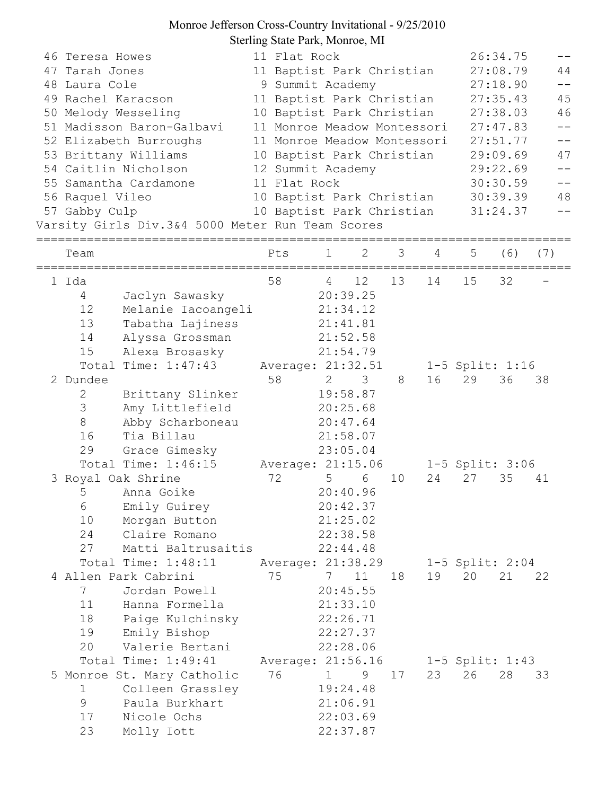## Monroe Jefferson Cross-Country Invitational - 9/25/2010 Sterling State Park, Monroe, MI

| 46 Teresa Howes<br>47 Tarah Jones<br>48 Laura Cole<br>49 Rachel Karacson<br>56 Raquel Vileo<br>57 Gabby Culp | 50 Melody Wesseling<br>51 Madisson Baron-Galbavi<br>52 Elizabeth Burroughs<br>53 Brittany Williams<br>54 Caitlin Nicholson<br>55 Samantha Cardamone<br>Varsity Girls Div.3&4 5000 Meter Run Team Scores |     | 11 Flat Rock<br>11 Baptist Park Christian<br>9 Summit Academy<br>11 Baptist Park Christian<br>10 Baptist Park Christian<br>11 Monroe Meadow Montessori<br>11 Monroe Meadow Montessori<br>10 Baptist Park Christian<br>12 Summit Academy<br>11 Flat Rock<br>10 Baptist Park Christian<br>10 Baptist Park Christian |                             |                                                                         |    |    | 26:34.75<br>27:08.79<br>27:18.90<br>27:35.43<br>27:38.03<br>27:47.83<br>27:51.77<br>29:09.69<br>29:22.69<br>30:30.59<br>30:39.39<br>31:24.37 | 44<br>$- -$<br>45<br>46<br>$\equiv$ $\equiv$<br>47<br>$- -$<br>48<br>$ -$ |     |
|--------------------------------------------------------------------------------------------------------------|---------------------------------------------------------------------------------------------------------------------------------------------------------------------------------------------------------|-----|-------------------------------------------------------------------------------------------------------------------------------------------------------------------------------------------------------------------------------------------------------------------------------------------------------------------|-----------------------------|-------------------------------------------------------------------------|----|----|----------------------------------------------------------------------------------------------------------------------------------------------|---------------------------------------------------------------------------|-----|
| Team                                                                                                         |                                                                                                                                                                                                         | Pts |                                                                                                                                                                                                                                                                                                                   | 1                           | 2                                                                       | 3  | 4  | 5                                                                                                                                            | (6)                                                                       | (7) |
| 1 Ida<br>$\overline{4}$<br>12<br>13<br>14<br>15                                                              | Jaclyn Sawasky<br>Melanie Iacoangeli<br>Tabatha Lajiness<br>Alyssa Grossman<br>Alexa Brosasky                                                                                                           | 58  |                                                                                                                                                                                                                                                                                                                   | $4\overline{4}$<br>21:41.81 | 12<br>20:39.25<br>21:34.12<br>21:52.58<br>21:54.79                      | 13 | 14 | 15                                                                                                                                           | 32                                                                        |     |
| 2 Dundee<br>$\mathbf{2}$<br>3<br>8<br>16<br>29                                                               | Total Time: $1:47:43$<br>Brittany Slinker<br>Amy Littlefield<br>Abby Scharboneau<br>Tia Billau<br>Grace Gimesky                                                                                         | 58  |                                                                                                                                                                                                                                                                                                                   | $\mathbf{2}$<br>20:25.68    | Average: 21:32.51<br>3<br>19:58.87<br>20:47.64<br>21:58.07<br>23:05.04  | 8  | 16 | 29                                                                                                                                           | $1-5$ Split: 1:16<br>36                                                   | 38  |
| 5<br>6<br>10<br>24<br>27                                                                                     | Total Time: 1:46:15<br>3 Royal Oak Shrine<br>Anna Goike<br>Emily Guirey<br>Morgan Button<br>Claire Romano<br>Matti Baltrusaitis                                                                         | 72  |                                                                                                                                                                                                                                                                                                                   | 5 <sub>5</sub><br>22:38.58  | Average: 21:15.06<br>6<br>20:40.96<br>20:42.37<br>21:25.02<br>22:44.48  | 10 | 24 | 27                                                                                                                                           | 1-5 Split: 3:06<br>35                                                     | 41  |
| 7<br>11<br>18<br>19<br>20                                                                                    | Total Time: 1:48:11<br>4 Allen Park Cabrini<br>Jordan Powell<br>Hanna Formella<br>Paige Kulchinsky<br>Emily Bishop<br>Valerie Bertani                                                                   | 75  |                                                                                                                                                                                                                                                                                                                   | 7<br>22:26.71               | Average: 21:38.29<br>11<br>20:45.55<br>21:33.10<br>22:27.37<br>22:28.06 | 18 | 19 | 20                                                                                                                                           | $1-5$ Split: 2:04<br>21                                                   | 22  |
| $\mathbf 1$<br>9<br>17<br>23                                                                                 | Total Time: 1:49:41<br>5 Monroe St. Mary Catholic<br>Colleen Grassley<br>Paula Burkhart<br>Nicole Ochs<br>Molly Iott                                                                                    | 76  |                                                                                                                                                                                                                                                                                                                   | 1<br>19:24.48<br>21:06.91   | Average: 21:56.16<br>9<br>22:03.69<br>22:37.87                          | 17 | 23 | 26                                                                                                                                           | $1-5$ Split: 1:43<br>28                                                   | 33  |